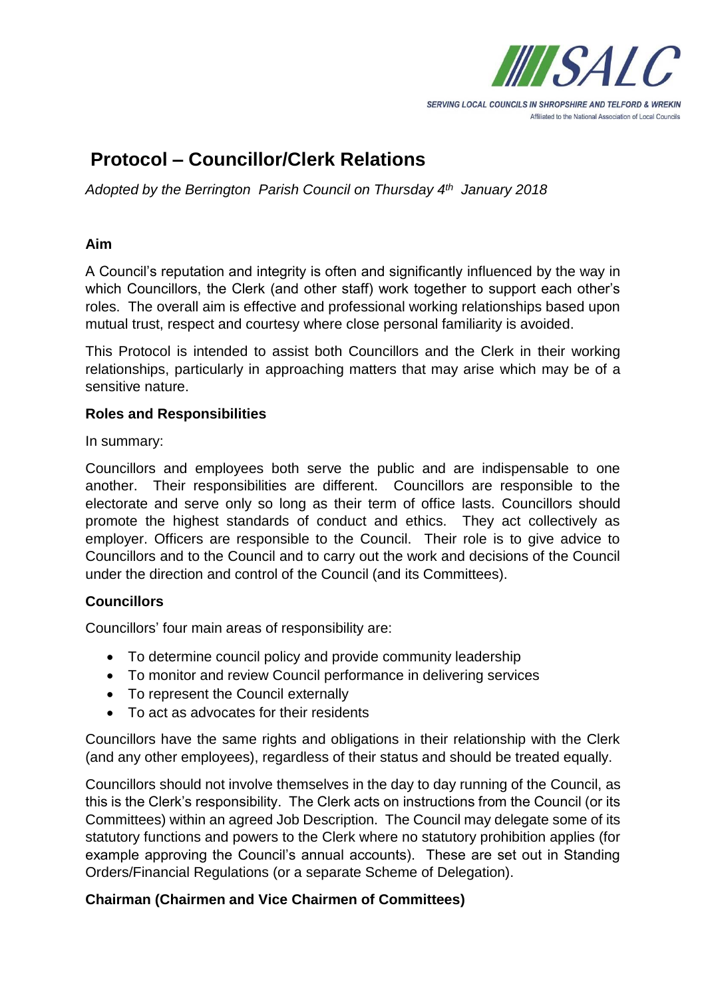

**SERVING LOCAL COUNCILS IN SHROPSHIRE AND TELFORD & WREKIN** Affiliated to the National Association of Local Councils

# **Protocol – Councillor/Clerk Relations**

*Adopted by the Berrington Parish Council on Thursday 4 th January 2018*

### **Aim**

A Council's reputation and integrity is often and significantly influenced by the way in which Councillors, the Clerk (and other staff) work together to support each other's roles. The overall aim is effective and professional working relationships based upon mutual trust, respect and courtesy where close personal familiarity is avoided.

This Protocol is intended to assist both Councillors and the Clerk in their working relationships, particularly in approaching matters that may arise which may be of a sensitive nature.

### **Roles and Responsibilities**

In summary:

Councillors and employees both serve the public and are indispensable to one another. Their responsibilities are different. Councillors are responsible to the electorate and serve only so long as their term of office lasts. Councillors should promote the highest standards of conduct and ethics. They act collectively as employer. Officers are responsible to the Council. Their role is to give advice to Councillors and to the Council and to carry out the work and decisions of the Council under the direction and control of the Council (and its Committees).

### **Councillors**

Councillors' four main areas of responsibility are:

- To determine council policy and provide community leadership
- To monitor and review Council performance in delivering services
- To represent the Council externally
- To act as advocates for their residents

Councillors have the same rights and obligations in their relationship with the Clerk (and any other employees), regardless of their status and should be treated equally.

Councillors should not involve themselves in the day to day running of the Council, as this is the Clerk's responsibility. The Clerk acts on instructions from the Council (or its Committees) within an agreed Job Description. The Council may delegate some of its statutory functions and powers to the Clerk where no statutory prohibition applies (for example approving the Council's annual accounts). These are set out in Standing Orders/Financial Regulations (or a separate Scheme of Delegation).

### **Chairman (Chairmen and Vice Chairmen of Committees)**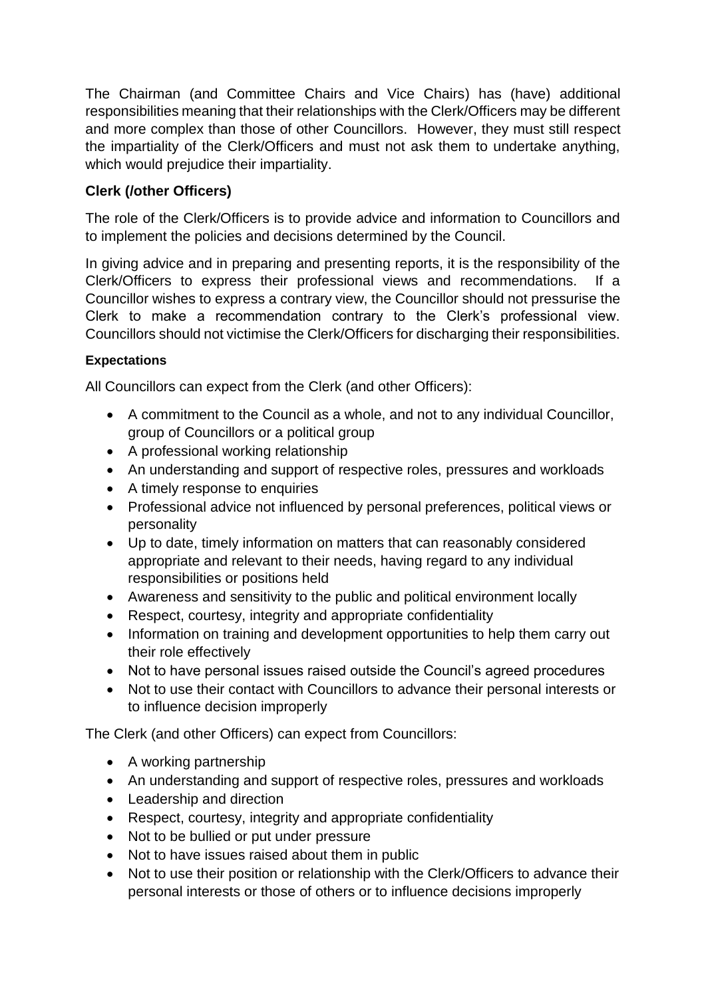The Chairman (and Committee Chairs and Vice Chairs) has (have) additional responsibilities meaning that their relationships with the Clerk/Officers may be different and more complex than those of other Councillors. However, they must still respect the impartiality of the Clerk/Officers and must not ask them to undertake anything, which would prejudice their impartiality.

## **Clerk (/other Officers)**

The role of the Clerk/Officers is to provide advice and information to Councillors and to implement the policies and decisions determined by the Council.

In giving advice and in preparing and presenting reports, it is the responsibility of the Clerk/Officers to express their professional views and recommendations. If a Councillor wishes to express a contrary view, the Councillor should not pressurise the Clerk to make a recommendation contrary to the Clerk's professional view. Councillors should not victimise the Clerk/Officers for discharging their responsibilities.

### **Expectations**

All Councillors can expect from the Clerk (and other Officers):

- A commitment to the Council as a whole, and not to any individual Councillor, group of Councillors or a political group
- A professional working relationship
- An understanding and support of respective roles, pressures and workloads
- A timely response to enquiries
- Professional advice not influenced by personal preferences, political views or personality
- Up to date, timely information on matters that can reasonably considered appropriate and relevant to their needs, having regard to any individual responsibilities or positions held
- Awareness and sensitivity to the public and political environment locally
- Respect, courtesy, integrity and appropriate confidentiality
- Information on training and development opportunities to help them carry out their role effectively
- Not to have personal issues raised outside the Council's agreed procedures
- Not to use their contact with Councillors to advance their personal interests or to influence decision improperly

The Clerk (and other Officers) can expect from Councillors:

- A working partnership
- An understanding and support of respective roles, pressures and workloads
- Leadership and direction
- Respect, courtesy, integrity and appropriate confidentiality
- Not to be bullied or put under pressure
- Not to have issues raised about them in public
- Not to use their position or relationship with the Clerk/Officers to advance their personal interests or those of others or to influence decisions improperly